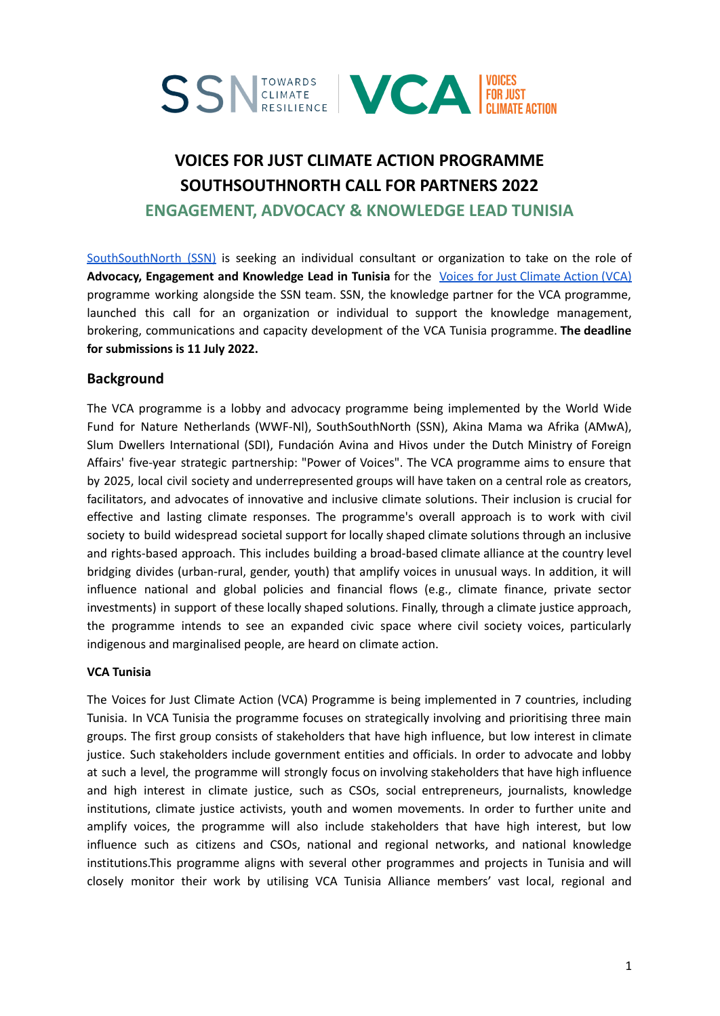

# **VOICES FOR JUST CLIMATE ACTION PROGRAMME SOUTHSOUTHNORTH CALL FOR PARTNERS 2022 ENGAGEMENT, ADVOCACY & KNOWLEDGE LEAD TUNISIA**

[SouthSouthNorth](https://southsouthnorth.org/) (SSN) is seeking an individual consultant or organization to take on the role of **Advocacy, Engagement and Knowledge Lead in Tunisia** for the Voices for Just [Climate](https://voicesforjustclimateaction.org/) Action (VCA) programme working alongside the SSN team. SSN, the knowledge partner for the VCA programme, launched this call for an organization or individual to support the knowledge management, brokering, communications and capacity development of the VCA Tunisia programme. **The deadline for submissions is 11 July 2022.**

# **Background**

The VCA programme is a lobby and advocacy programme being implemented by the World Wide Fund for Nature Netherlands (WWF-Nl), SouthSouthNorth (SSN), Akina Mama wa Afrika (AMwA), Slum Dwellers International (SDI), Fundación Avina and Hivos under the Dutch Ministry of Foreign Affairs' five-year strategic partnership: "Power of Voices". The VCA programme aims to ensure that by 2025, local civil society and underrepresented groups will have taken on a central role as creators, facilitators, and advocates of innovative and inclusive climate solutions. Their inclusion is crucial for effective and lasting climate responses. The programme's overall approach is to work with civil society to build widespread societal support for locally shaped climate solutions through an inclusive and rights-based approach. This includes building a broad-based climate alliance at the country level bridging divides (urban-rural, gender, youth) that amplify voices in unusual ways. In addition, it will influence national and global policies and financial flows (e.g., climate finance, private sector investments) in support of these locally shaped solutions. Finally, through a climate justice approach, the programme intends to see an expanded civic space where civil society voices, particularly indigenous and marginalised people, are heard on climate action.

#### **VCA Tunisia**

The Voices for Just Climate Action (VCA) Programme is being implemented in 7 countries, including Tunisia. In VCA Tunisia the programme focuses on strategically involving and prioritising three main groups. The first group consists of stakeholders that have high influence, but low interest in climate justice. Such stakeholders include government entities and officials. In order to advocate and lobby at such a level, the programme will strongly focus on involving stakeholders that have high influence and high interest in climate justice, such as CSOs, social entrepreneurs, journalists, knowledge institutions, climate justice activists, youth and women movements. In order to further unite and amplify voices, the programme will also include stakeholders that have high interest, but low influence such as citizens and CSOs, national and regional networks, and national knowledge institutions.This programme aligns with several other programmes and projects in Tunisia and will closely monitor their work by utilising VCA Tunisia Alliance members' vast local, regional and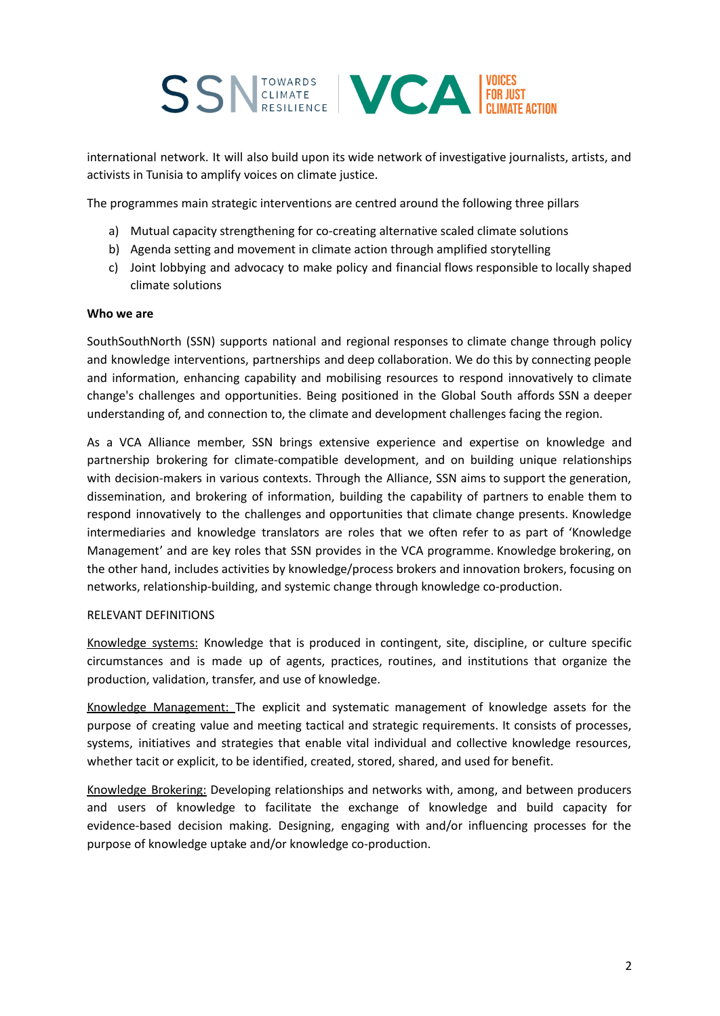

international network. It will also build upon its wide network of investigative journalists, artists, and activists in Tunisia to amplify voices on climate justice.

The programmes main strategic interventions are centred around the following three pillars

- a) Mutual capacity strengthening for co-creating alternative scaled climate solutions
- b) Agenda setting and movement in climate action through amplified storytelling
- c) Joint lobbying and advocacy to make policy and financial flows responsible to locally shaped climate solutions

#### **Who we are**

SouthSouthNorth (SSN) supports national and regional responses to climate change through policy and knowledge interventions, partnerships and deep collaboration. We do this by connecting people and information, enhancing capability and mobilising resources to respond innovatively to climate change's challenges and opportunities. Being positioned in the Global South affords SSN a deeper understanding of, and connection to, the climate and development challenges facing the region.

As a VCA Alliance member, SSN brings extensive experience and expertise on knowledge and partnership brokering for climate-compatible development, and on building unique relationships with decision-makers in various contexts. Through the Alliance, SSN aims to support the generation, dissemination, and brokering of information, building the capability of partners to enable them to respond innovatively to the challenges and opportunities that climate change presents. Knowledge intermediaries and knowledge translators are roles that we often refer to as part of 'Knowledge Management' and are key roles that SSN provides in the VCA programme. Knowledge brokering, on the other hand, includes activities by knowledge/process brokers and innovation brokers, focusing on networks, relationship-building, and systemic change through knowledge co-production.

#### RELEVANT DEFINITIONS

Knowledge systems: Knowledge that is produced in contingent, site, discipline, or culture specific circumstances and is made up of agents, practices, routines, and institutions that organize the production, validation, transfer, and use of knowledge.

Knowledge Management: The explicit and systematic management of knowledge assets for the purpose of creating value and meeting tactical and strategic requirements. It consists of processes, systems, initiatives and strategies that enable vital individual and collective knowledge resources, whether tacit or explicit, to be identified, created, stored, shared, and used for benefit.

Knowledge Brokering: Developing relationships and networks with, among, and between producers and users of knowledge to facilitate the exchange of knowledge and build capacity for evidence-based decision making. Designing, engaging with and/or influencing processes for the purpose of knowledge uptake and/or knowledge co-production.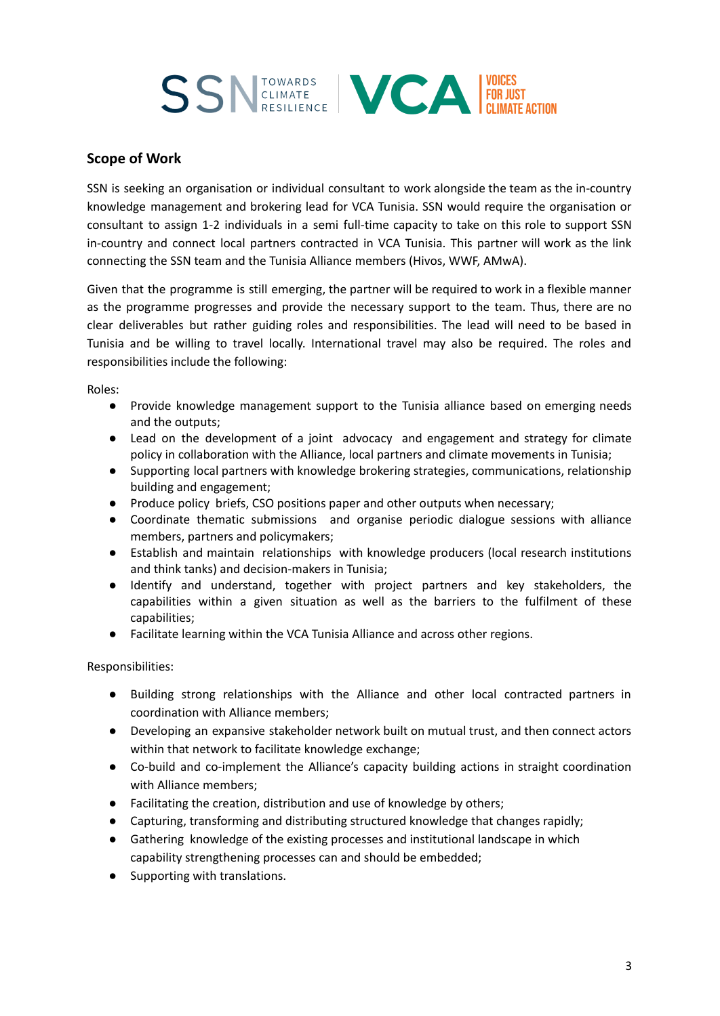

# **Scope of Work**

SSN is seeking an organisation or individual consultant to work alongside the team as the in-country knowledge management and brokering lead for VCA Tunisia. SSN would require the organisation or consultant to assign 1-2 individuals in a semi full-time capacity to take on this role to support SSN in-country and connect local partners contracted in VCA Tunisia. This partner will work as the link connecting the SSN team and the Tunisia Alliance members (Hivos, WWF, AMwA).

Given that the programme is still emerging, the partner will be required to work in a flexible manner as the programme progresses and provide the necessary support to the team. Thus, there are no clear deliverables but rather guiding roles and responsibilities. The lead will need to be based in Tunisia and be willing to travel locally. International travel may also be required. The roles and responsibilities include the following:

Roles:

- Provide knowledge management support to the Tunisia alliance based on emerging needs and the outputs;
- Lead on the development of a joint advocacy and engagement and strategy for climate policy in collaboration with the Alliance, local partners and climate movements in Tunisia;
- Supporting local partners with knowledge brokering strategies, communications, relationship building and engagement;
- Produce policy briefs, CSO positions paper and other outputs when necessary;
- Coordinate thematic submissions and organise periodic dialogue sessions with alliance members, partners and policymakers;
- Establish and maintain relationships with knowledge producers (local research institutions and think tanks) and decision-makers in Tunisia;
- Identify and understand, together with project partners and key stakeholders, the capabilities within a given situation as well as the barriers to the fulfilment of these capabilities;
- Facilitate learning within the VCA Tunisia Alliance and across other regions.

Responsibilities:

- Building strong relationships with the Alliance and other local contracted partners in coordination with Alliance members;
- Developing an expansive stakeholder network built on mutual trust, and then connect actors within that network to facilitate knowledge exchange;
- Co-build and co-implement the Alliance's capacity building actions in straight coordination with Alliance members;
- Facilitating the creation, distribution and use of knowledge by others;
- Capturing, transforming and distributing structured knowledge that changes rapidly;
- Gathering knowledge of the existing processes and institutional landscape in which capability strengthening processes can and should be embedded;
- Supporting with translations.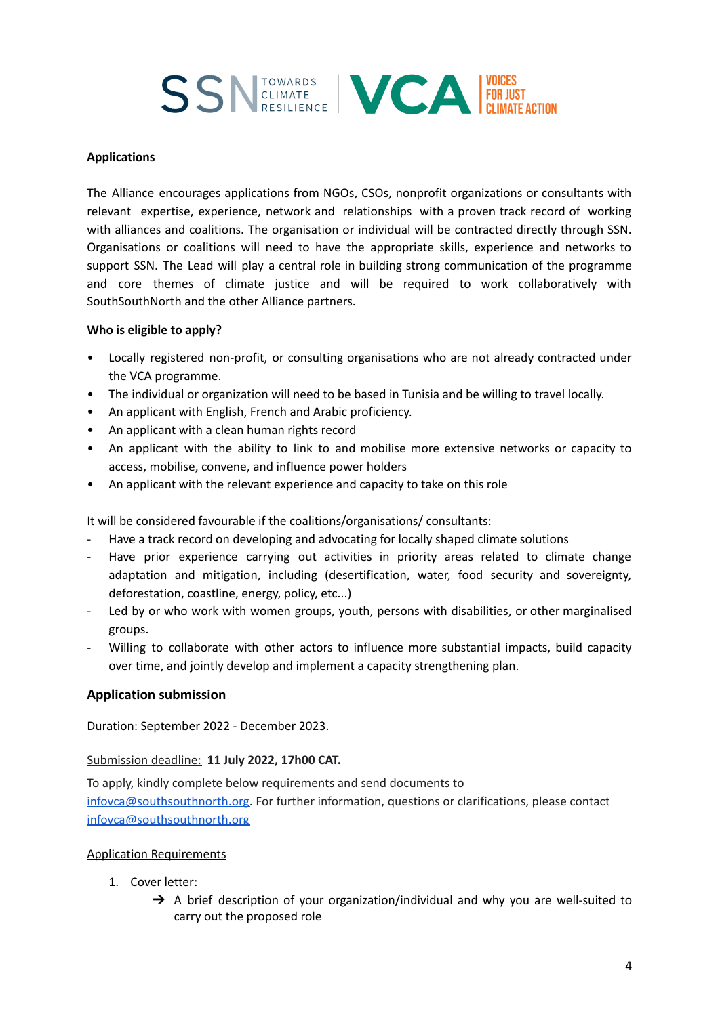

#### **Applications**

The Alliance encourages applications from NGOs, CSOs, nonprofit organizations or consultants with relevant expertise, experience, network and relationships with a proven track record of working with alliances and coalitions. The organisation or individual will be contracted directly through SSN. Organisations or coalitions will need to have the appropriate skills, experience and networks to support SSN. The Lead will play a central role in building strong communication of the programme and core themes of climate justice and will be required to work collaboratively with SouthSouthNorth and the other Alliance partners.

#### **Who is eligible to apply?**

- Locally registered non-profit, or consulting organisations who are not already contracted under the VCA programme.
- The individual or organization will need to be based in Tunisia and be willing to travel locally.
- An applicant with English, French and Arabic proficiency.
- An applicant with a clean human rights record
- An applicant with the ability to link to and mobilise more extensive networks or capacity to access, mobilise, convene, and influence power holders
- An applicant with the relevant experience and capacity to take on this role

It will be considered favourable if the coalitions/organisations/ consultants:

- Have a track record on developing and advocating for locally shaped climate solutions
- Have prior experience carrying out activities in priority areas related to climate change adaptation and mitigation, including (desertification, water, food security and sovereignty, deforestation, coastline, energy, policy, etc...)
- Led by or who work with women groups, youth, persons with disabilities, or other marginalised groups.
- Willing to collaborate with other actors to influence more substantial impacts, build capacity over time, and jointly develop and implement a capacity strengthening plan.

## **Application submission**

Duration: September 2022 - December 2023.

## Submission deadline: **11 July 2022, 17h00 CAT.**

To apply, kindly complete below requirements and send documents to [infovca@southsouthnorth.org.](mailto:infovca@southsouthnorth.org) For further information, questions or clarifications, please contact [infovca@southsouthnorth.org](mailto:infovca@southsouthnorth.org)

## Application Requirements

- 1. Cover letter:
	- → A brief description of your organization/individual and why you are well-suited to carry out the proposed role